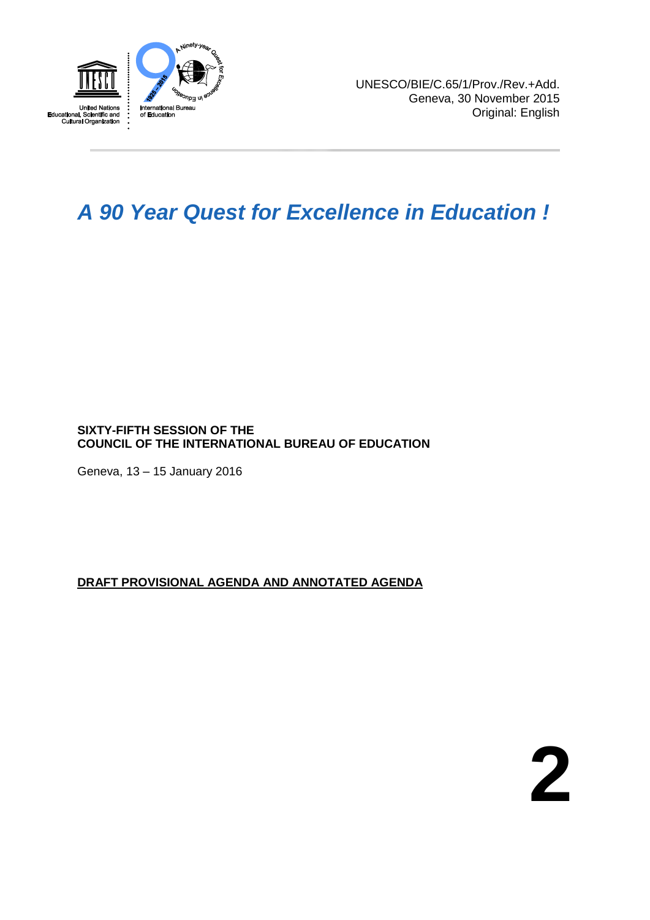

# *A 90 Year Quest for Excellence in Education !*

# **SIXTY-FIFTH SESSION OF THE COUNCIL OF THE INTERNATIONAL BUREAU OF EDUCATION**

Geneva, 13 – 15 January 2016

# **DRAFT PROVISIONAL AGENDA AND ANNOTATED AGENDA**

**2**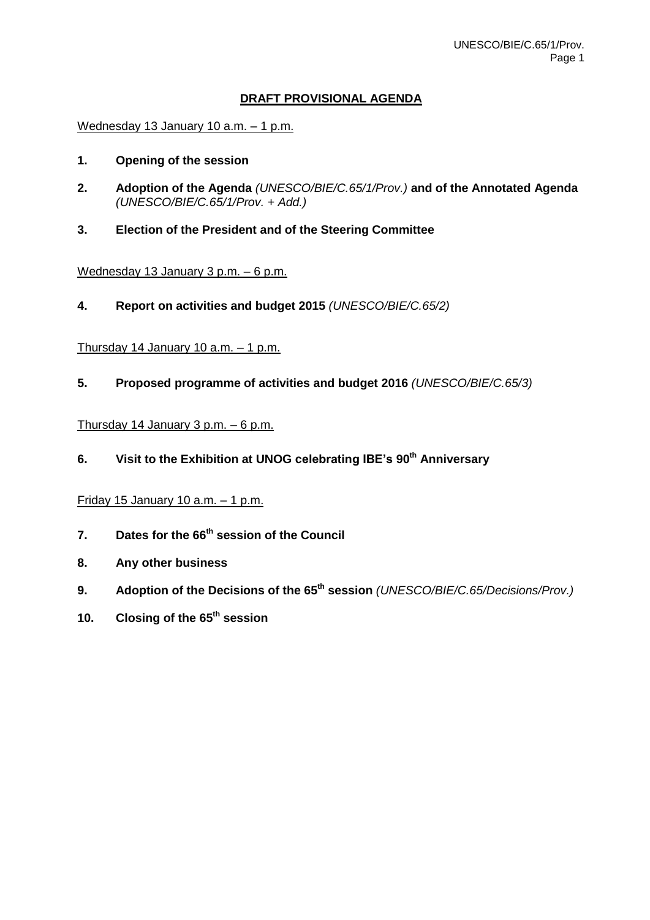# **DRAFT PROVISIONAL AGENDA**

Wednesday 13 January 10 a.m. – 1 p.m.

- **1. Opening of the session**
- **2. Adoption of the Agenda** *(UNESCO/BIE/C.65/1/Prov.)* **and of the Annotated Agenda** *(UNESCO/BIE/C.65/1/Prov. + Add.)*
- **3. Election of the President and of the Steering Committee**

#### Wednesday 13 January 3 p.m. – 6 p.m.

**4. Report on activities and budget 2015** *(UNESCO/BIE/C.65/2)*

#### Thursday 14 January 10 a.m. – 1 p.m.

**5. Proposed programme of activities and budget 2016** *(UNESCO/BIE/C.65/3)*

# Thursday 14 January 3 p.m. – 6 p.m.

**6. Visit to the Exhibition at UNOG celebrating IBE's 90th Anniversary**

# Friday 15 January  $10$  a.m.  $-1$  p.m.

- **7. Dates for the 66 th session of the Council**
- **8. Any other business**
- **9. Adoption of the Decisions of the 65 th session** *(UNESCO/BIE/C.65/Decisions/Prov.)*
- **10. Closing of the 65 th session**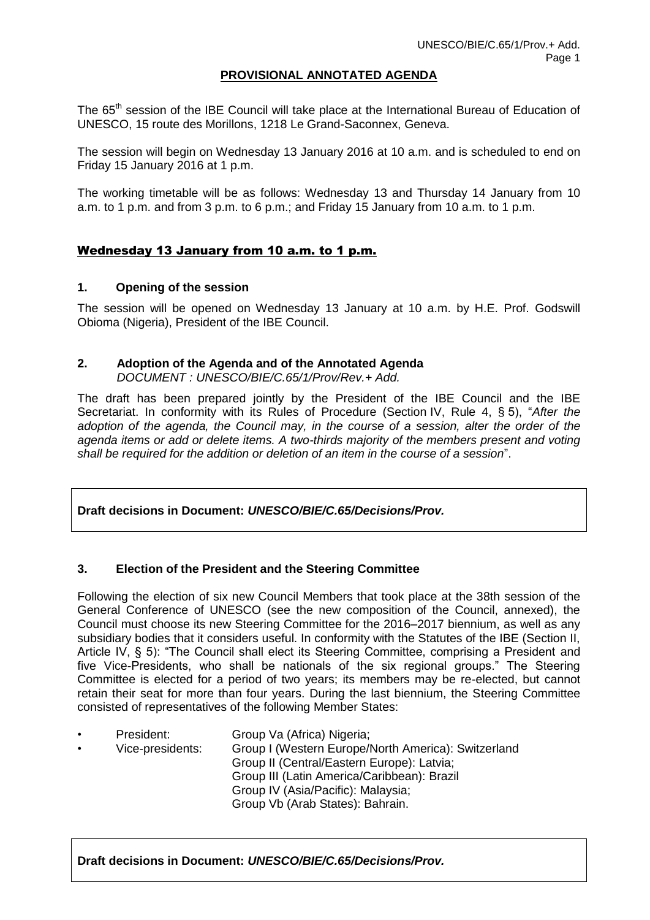#### **PROVISIONAL ANNOTATED AGENDA**

The 65<sup>th</sup> session of the IBE Council will take place at the International Bureau of Education of UNESCO, 15 route des Morillons, 1218 Le Grand-Saconnex, Geneva.

The session will begin on Wednesday 13 January 2016 at 10 a.m. and is scheduled to end on Friday 15 January 2016 at 1 p.m.

The working timetable will be as follows: Wednesday 13 and Thursday 14 January from 10 a.m. to 1 p.m. and from 3 p.m. to 6 p.m.; and Friday 15 January from 10 a.m. to 1 p.m.

#### Wednesday 13 January from 10 a.m. to 1 p.m.

#### **1. Opening of the session**

The session will be opened on Wednesday 13 January at 10 a.m. by H.E. Prof. Godswill Obioma (Nigeria), President of the IBE Council.

# **2. Adoption of the Agenda and of the Annotated Agenda**

*DOCUMENT : UNESCO/BIE/C.65/1/Prov/Rev.+ Add.*

The draft has been prepared jointly by the President of the IBE Council and the IBE Secretariat. In conformity with its Rules of Procedure (Section IV, Rule 4, § 5), "*After the adoption of the agenda, the Council may, in the course of a session, alter the order of the agenda items or add or delete items. A two-thirds majority of the members present and voting shall be required for the addition or deletion of an item in the course of a session*".

#### **Draft decisions in Document:** *UNESCO/BIE/C.65/Decisions/Prov.*

#### **3. Election of the President and the Steering Committee**

Following the election of six new Council Members that took place at the 38th session of the General Conference of UNESCO (see the new composition of the Council, annexed), the Council must choose its new Steering Committee for the 2016–2017 biennium, as well as any subsidiary bodies that it considers useful. In conformity with the Statutes of the IBE (Section II, Article IV, § 5): "The Council shall elect its Steering Committee, comprising a President and five Vice-Presidents, who shall be nationals of the six regional groups." The Steering Committee is elected for a period of two years; its members may be re-elected, but cannot retain their seat for more than four years. During the last biennium, the Steering Committee consisted of representatives of the following Member States:

President: Group Va (Africa) Nigeria; • Vice-presidents: Group I (Western Europe/North America): Switzerland Group II (Central/Eastern Europe): Latvia; Group III (Latin America/Caribbean): Brazil Group IV (Asia/Pacific): Malaysia; Group Vb (Arab States): Bahrain.

**Draft decisions in Document:** *UNESCO/BIE/C.65/Decisions/Prov.*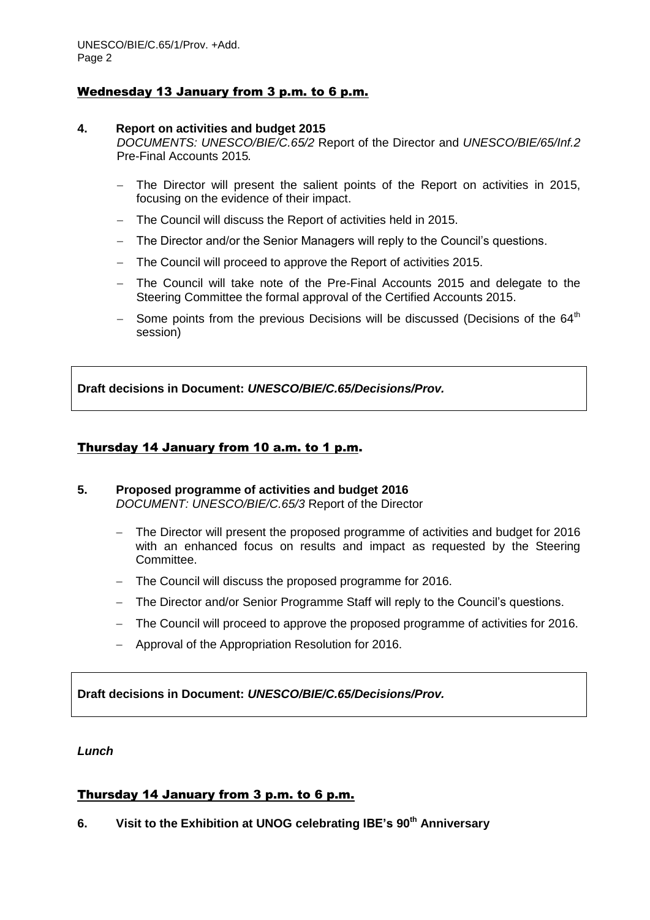#### Wednesday 13 January from 3 p.m. to 6 p.m.

#### **4. Report on activities and budget 2015**

*DOCUMENTS: UNESCO/BIE/C.65/2* Report of the Director and *UNESCO/BIE/65/Inf.2* Pre-Final Accounts 2015*.*

- The Director will present the salient points of the Report on activities in 2015, focusing on the evidence of their impact.
- The Council will discuss the Report of activities held in 2015.
- The Director and/or the Senior Managers will reply to the Council's questions.
- The Council will proceed to approve the Report of activities 2015.
- The Council will take note of the Pre-Final Accounts 2015 and delegate to the Steering Committee the formal approval of the Certified Accounts 2015.
- Some points from the previous Decisions will be discussed (Decisions of the  $64<sup>th</sup>$ session)

**Draft decisions in Document:** *UNESCO/BIE/C.65/Decisions/Prov.*

## Thursday 14 January from 10 a.m. to 1 p.m.

#### **5. Proposed programme of activities and budget 2016** *DOCUMENT: UNESCO/BIE/C.65/3* Report of the Director

- The Director will present the proposed programme of activities and budget for 2016 with an enhanced focus on results and impact as requested by the Steering Committee.
- The Council will discuss the proposed programme for 2016.
- The Director and/or Senior Programme Staff will reply to the Council's questions.
- The Council will proceed to approve the proposed programme of activities for 2016.
- Approval of the Appropriation Resolution for 2016.

**Draft decisions in Document:** *UNESCO/BIE/C.65/Decisions/Prov.*

#### *Lunch*

# Thursday 14 January from 3 p.m. to 6 p.m.

**6. Visit to the Exhibition at UNOG celebrating IBE's 90th Anniversary**